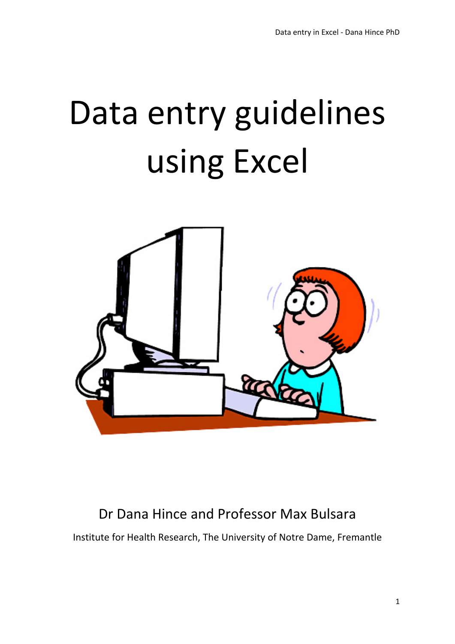# Data entry guidelines using Excel



# Dr Dana Hince and Professor Max Bulsara

Institute for Health Research, The University of Notre Dame, Fremantle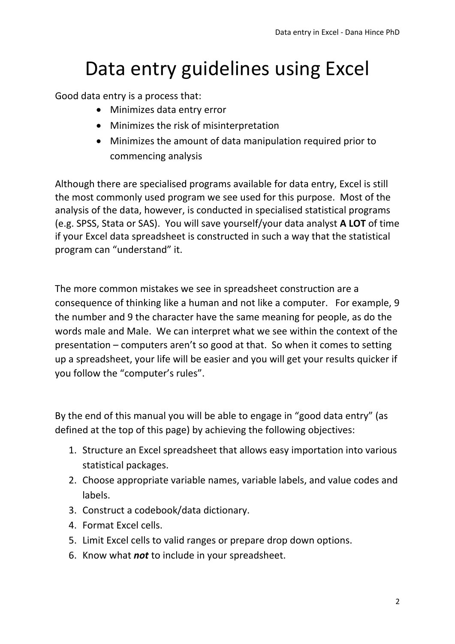# Data entry guidelines using Excel

Good data entry is a process that:

- Minimizes data entry error
- Minimizes the risk of misinterpretation
- Minimizes the amount of data manipulation required prior to commencing analysis

Although there are specialised programs available for data entry, Excel is still the most commonly used program we see used for this purpose. Most of the analysis of the data, however, is conducted in specialised statistical programs (e.g. SPSS, Stata or SAS). You will save yourself/your data analyst **A LOT** of time if your Excel data spreadsheet is constructed in such a way that the statistical program can "understand" it.

The more common mistakes we see in spreadsheet construction are a consequence of thinking like a human and not like a computer. For example, 9 the number and 9 the character have the same meaning for people, as do the words male and Male. We can interpret what we see within the context of the presentation – computers aren't so good at that. So when it comes to setting up a spreadsheet, your life will be easier and you will get your results quicker if you follow the "computer's rules".

By the end of this manual you will be able to engage in "good data entry" (as defined at the top of this page) by achieving the following objectives:

- 1. Structure an Excel spreadsheet that allows easy importation into various statistical packages.
- 2. Choose appropriate variable names, variable labels, and value codes and labels.
- 3. Construct a codebook/data dictionary.
- 4. Format Excel cells.
- 5. Limit Excel cells to valid ranges or prepare drop down options.
- 6. Know what *not* to include in your spreadsheet.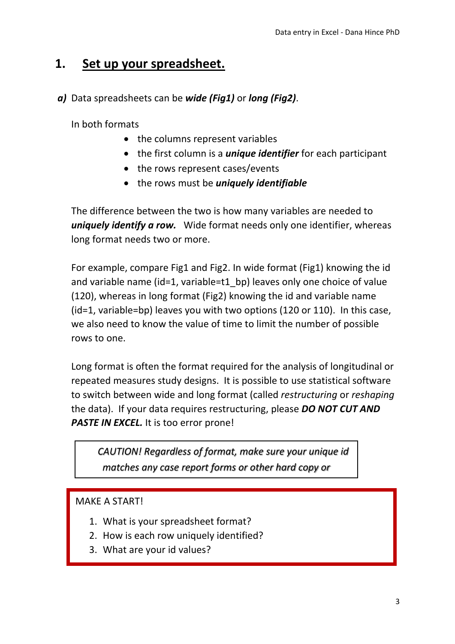## **1. Set up your spreadsheet.**

#### *a)* Data spreadsheets can be *wide (Fig1)* or *long (Fig2)*.

In both formats

- the columns represent variables
- the first column is a *unique identifier* for each participant
- the rows represent cases/events
- the rows must be *uniquely identifiable*

The difference between the two is how many variables are needed to *uniquely identify a row.* Wide format needs only one identifier, whereas long format needs two or more.

For example, compare Fig1 and Fig2. In wide format (Fig1) knowing the id and variable name (id=1, variable=t1\_bp) leaves only one choice of value (120), whereas in long format (Fig2) knowing the id and variable name (id=1, variable=bp) leaves you with two options (120 or 110). In this case, we also need to know the value of time to limit the number of possible rows to one.

Long format is often the format required for the analysis of longitudinal or repeated measures study designs. It is possible to use statistical software to switch between wide and long format (called *restructuring* or *reshaping* the data). If your data requires restructuring, please *DO NOT CUT AND*  **PASTE IN EXCEL.** It is too error prone!

*CAUTION! Regardless of format, make sure your unique id matches any case report forms or other hard copy or* 

#### MAKE A START!

- 1. What is your spreadsheet format?
- 2. How is each row uniquely identified?
- 3. What are your id values?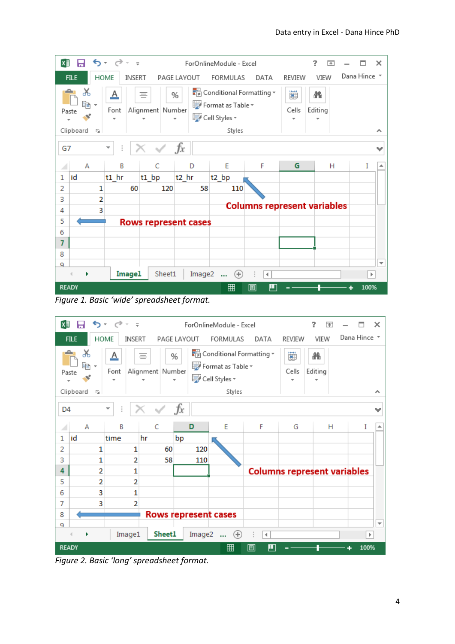| x∄           | ы                              |                           | $5 - 6 - 7$                    |        |       |                  |                             |        | ForOnlineModule - Excel                                                  |                                    |            | 2            | 困 |              | ×                        |
|--------------|--------------------------------|---------------------------|--------------------------------|--------|-------|------------------|-----------------------------|--------|--------------------------------------------------------------------------|------------------------------------|------------|--------------|---|--------------|--------------------------|
|              | <b>FILE</b>                    |                           | HOME                           | INSERT |       |                  | PAGE LAYOUT                 |        | FORMULAS                                                                 | DATA                               | REVIEW     | VIEW         |   | Dana Hince * |                          |
| ᅀ            | X<br>晒 -<br>Paste<br>Clipboard | $\overline{\mathbb{F}_2}$ | <u>A</u><br>Font               |        | ≣     | Alignment Number | %                           |        | Conditional Formatting *<br>Format as Table ~<br>Cell Styles v<br>Styles |                                    | 圓<br>Cells | Æ<br>Editing |   |              |                          |
| G7           |                                |                           | Ĩ.<br>$\overline{\phantom{a}}$ |        |       |                  | $f_x$                       |        |                                                                          |                                    |            |              |   |              | v                        |
| ⊿            | А                              |                           | B                              |        |       | C                | D                           |        | E                                                                        | F                                  | G          |              | н | I            | ዹ                        |
| 1            | id                             |                           | $t1$ hr                        |        | t1 bp |                  | $t2$ hr                     |        | t2 bp                                                                    |                                    |            |              |   |              |                          |
| 2            |                                | 1                         |                                | 60     |       | 120              |                             | 58     | 110                                                                      |                                    |            |              |   |              |                          |
| 3            |                                | $\overline{2}$            |                                |        |       |                  |                             |        |                                                                          | <b>Columns represent variables</b> |            |              |   |              |                          |
| 4            |                                | 3                         |                                |        |       |                  |                             |        |                                                                          |                                    |            |              |   |              |                          |
| 5            |                                |                           |                                |        |       |                  | <b>Rows represent cases</b> |        |                                                                          |                                    |            |              |   |              |                          |
| 6            |                                |                           |                                |        |       |                  |                             |        |                                                                          |                                    |            |              |   |              |                          |
| 7            |                                |                           |                                |        |       |                  |                             |        |                                                                          |                                    |            |              |   |              |                          |
| 8            |                                |                           |                                |        |       |                  |                             |        |                                                                          |                                    |            |              |   |              |                          |
| ٥            |                                |                           |                                |        |       |                  |                             |        |                                                                          |                                    |            |              |   |              | $\overline{\phantom{a}}$ |
|              | ٠<br>4                         |                           |                                | Image1 |       | Sheet1           |                             | Image2 | $\bigoplus$<br>$\mathbf{r}$                                              | ÷<br>$\blacktriangleleft$          |            |              |   | Þ.           |                          |
| <b>READY</b> |                                |                           |                                |        |       |                  |                             |        | 囲                                                                        | ற<br>圓                             |            |              |   | 100%         |                          |

*Figure 1. Basic 'wide' spreadsheet format.*



*Figure 2. Basic 'long' spreadsheet format.*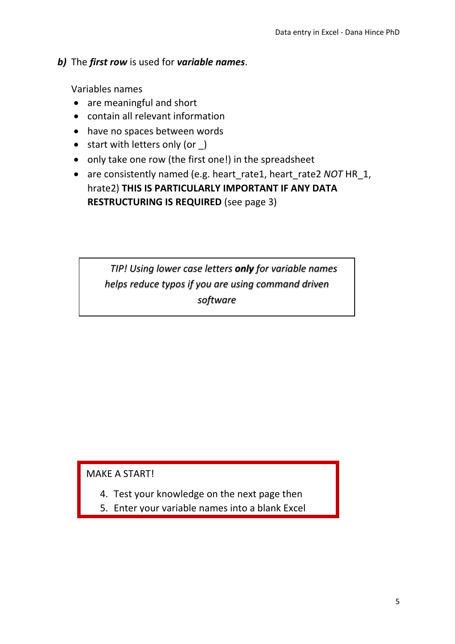#### *b)* The *first row* is used for *variable names*.

Variables names

- are meaningful and short
- contain all relevant information
- have no spaces between words
- start with letters only (or  $\Box$ )
- only take one row (the first one!) in the spreadsheet
- are consistently named (e.g. heart rate1, heart rate2 *NOT* HR 1, hrate2) **THIS IS PARTICULARLY IMPORTANT IF ANY DATA RESTRUCTURING IS REQUIRED** (see page 3)

*TIP! Using lower case letters only for variable names helps reduce typos if you are using command driven software*

MAKE A START!

- 4. Test your knowledge on the next page then
- 5. Enter your variable names into a blank Excel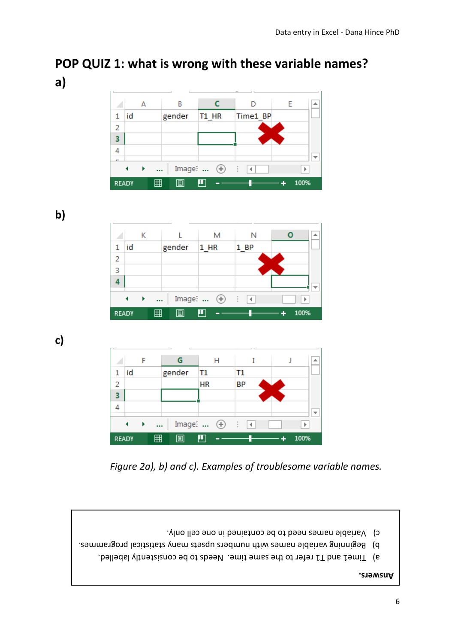#### Data entry in Excel - Dana Hince PhD

# **POP QUIZ 1: what is wrong with these variable names? a)**



**b)**

|              |    | Κ    |          |        |                     | М | Ν       | ዹ    |
|--------------|----|------|----------|--------|---------------------|---|---------|------|
| 1            | id |      |          | gender | $1_HR$              |   | 1_BP    |      |
| 2            |    |      |          |        |                     |   |         |      |
| 3            |    |      |          |        |                     |   |         |      |
|              |    |      |          |        |                     |   |         |      |
|              |    | - 11 | $\cdots$ |        | Image: $\quadoplus$ |   | t<br>lк | Þ    |
| <b>READY</b> |    |      | 囲        | 圓      | ш                   |   |         | 100% |

**c)**

|              |    |          |        |           | н                   |    |      |  |      |  |
|--------------|----|----------|--------|-----------|---------------------|----|------|--|------|--|
| 1            | id |          | gender | T1        |                     | Τ1 |      |  |      |  |
| 2            |    |          |        | <b>HR</b> |                     | BP |      |  |      |  |
|              |    |          |        |           |                     |    |      |  |      |  |
|              |    |          |        |           |                     |    |      |  |      |  |
|              |    | $\cdots$ |        |           | Image: $\quadoplus$ |    | ा वि |  | ь    |  |
|              |    |          |        |           |                     |    |      |  |      |  |
| <b>READY</b> |    | 囲        | 间      |           |                     |    |      |  | 100% |  |

*Figure 2a), b) and c). Examples of troublesome variable names.*





Time1 and T1 refer to the same time. Needs to be consistently labelled.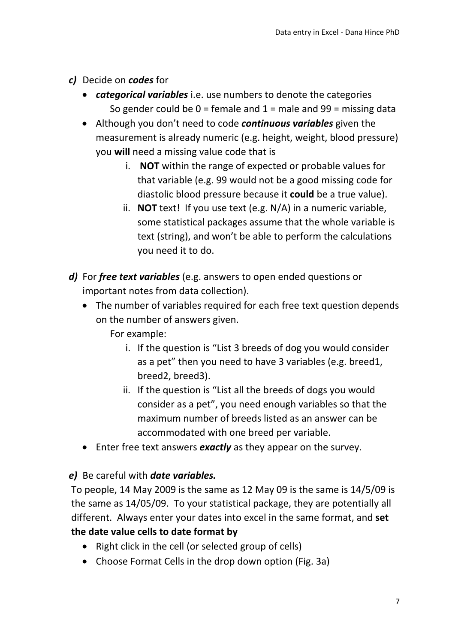- *c)* Decide on *codes* for
	- *categorical variables* i.e. use numbers to denote the categories So gender could be  $0 =$  female and  $1 =$  male and  $99 =$  missing data
	- Although you don't need to code *continuous variables* given the measurement is already numeric (e.g. height, weight, blood pressure) you **will** need a missing value code that is
		- i. **NOT** within the range of expected or probable values for that variable (e.g. 99 would not be a good missing code for diastolic blood pressure because it **could** be a true value).
		- ii. **NOT** text! If you use text (e.g. N/A) in a numeric variable, some statistical packages assume that the whole variable is text (string), and won't be able to perform the calculations you need it to do.
- *d)* For *free text variables* (e.g. answers to open ended questions or important notes from data collection).
	- The number of variables required for each free text question depends on the number of answers given.
		- For example:
			- i. If the question is "List 3 breeds of dog you would consider as a pet" then you need to have 3 variables (e.g. breed1, breed2, breed3).
			- ii. If the question is "List all the breeds of dogs you would consider as a pet", you need enough variables so that the maximum number of breeds listed as an answer can be accommodated with one breed per variable.
	- Enter free text answers *exactly* as they appear on the survey.

#### *e)* Be careful with *date variables.*

To people, 14 May 2009 is the same as 12 May 09 is the same is 14/5/09 is the same as 14/05/09. To your statistical package, they are potentially all different. Always enter your dates into excel in the same format, and **set the date value cells to date format by**

- Right click in the cell (or selected group of cells)
- Choose Format Cells in the drop down option (Fig. 3a)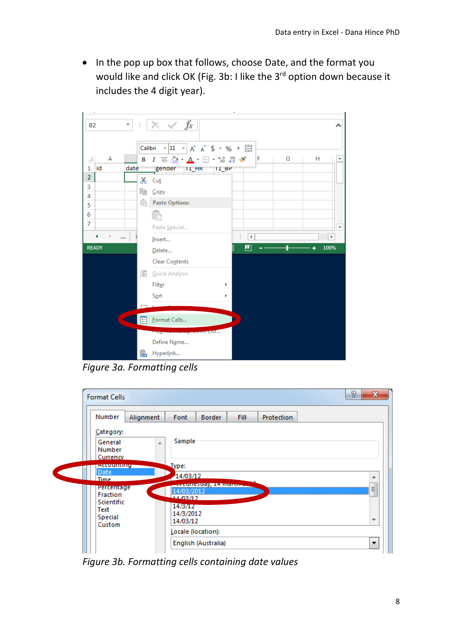• In the pop up box that follows, choose Date, and the format you would like and click OK (Fig. 3b: I like the 3<sup>rd</sup> option down because it includes the 4 digit year).



*Figure 3a. Formatting cells*

| <b>Format Cells</b>                              |                                                           | P<br>x |
|--------------------------------------------------|-----------------------------------------------------------|--------|
| Number<br>Alignment                              | <b>Fill</b><br>Font<br><b>Border</b><br><b>Protection</b> |        |
| Category:<br>General<br>A.<br>Number<br>Currency | Sample                                                    |        |
| <b>ACCOUNTING</b><br>Date<br><b>Time</b>         | Type:<br>14/03/12                                         | ∸      |
| Percentage<br><b>Fraction</b>                    | лессии (4506)), 147 миллээ.<br>14/03/2012<br>14/03/12     | Ξ      |
| Scientific<br>Text<br>Special<br>Custom          | 14/3/12<br>14/3/2012<br>14/03/12                          | ┯      |
|                                                  | Locale (location):                                        |        |
|                                                  | English (Australia)                                       | ۰.     |

*Figure 3b. Formatting cells containing date values*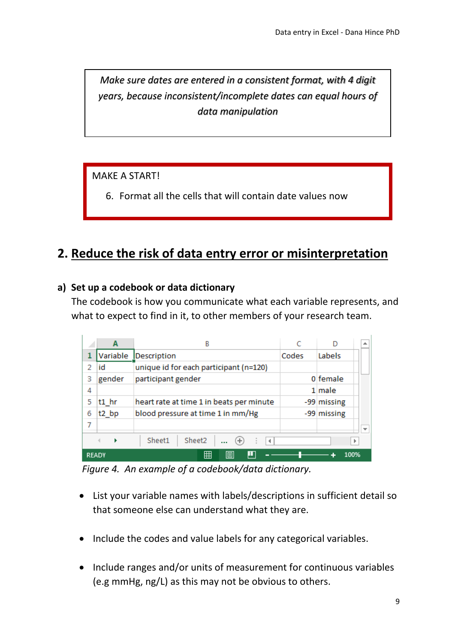*Make sure dates are entered in a consistent format, with 4 digit years, because inconsistent/incomplete dates can equal hours of data manipulation*

MAKE A START!

6. Format all the cells that will contain date values now

## **2. Reduce the risk of data entry error or misinterpretation**

#### **a) Set up a codebook or data dictionary**

The codebook is how you communicate what each variable represents, and what to expect to find in it, to other members of your research team.

|              | А                 | B                                        |       |             | ┻ |
|--------------|-------------------|------------------------------------------|-------|-------------|---|
| 1            | Variable          | Description                              | Codes | Labels      |   |
| 2            | id                | unique id for each participant (n=120)   |       |             |   |
| 3            | gender            | participant gender                       |       | 0 female    |   |
| 4            |                   |                                          |       | 1 male      |   |
| 5            | $t1$ hr           | heart rate at time 1 in beats per minute |       | -99 missing |   |
| 6            | t <sub>2</sub> bp | blood pressure at time 1 in mm/Hg        |       | -99 missing |   |
|              |                   |                                          |       |             |   |
|              |                   | Sheet2<br>Sheet1<br>$(+)$<br>4           |       |             |   |
| <b>READY</b> |                   | 囲<br>ш<br>囘                              |       |             |   |

*Figure 4. An example of a codebook/data dictionary.*

- List your variable names with labels/descriptions in sufficient detail so that someone else can understand what they are.
- Include the codes and value labels for any categorical variables.
- Include ranges and/or units of measurement for continuous variables (e.g mmHg, ng/L) as this may not be obvious to others.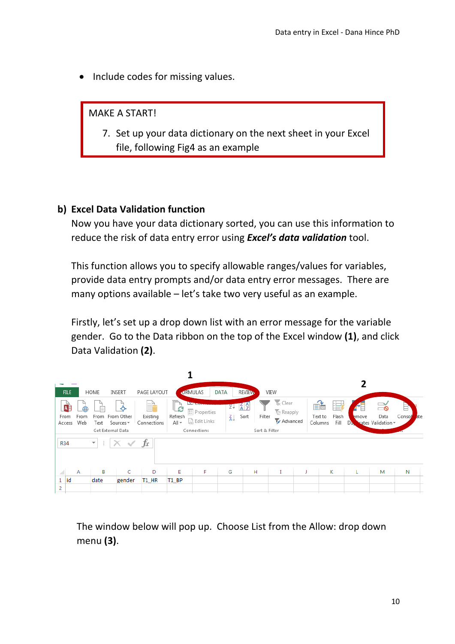• Include codes for missing values.

MAKE A START!

7. Set up your data dictionary on the next sheet in your Excel file, following Fig4 as an example

#### **b) Excel Data Validation function**

Now you have your data dictionary sorted, you can use this information to reduce the risk of data entry error using *Excel's data validation* tool.

This function allows you to specify allowable ranges/values for variables, provide data entry prompts and/or data entry error messages. There are many options available – let's take two very useful as an example.

Firstly, let's set up a drop down list with an error message for the variable gender. Go to the Data ribbon on the top of the Excel window **(1)**, and click Data Validation **(2)**.



The window below will pop up. Choose List from the Allow: drop down menu **(3)**.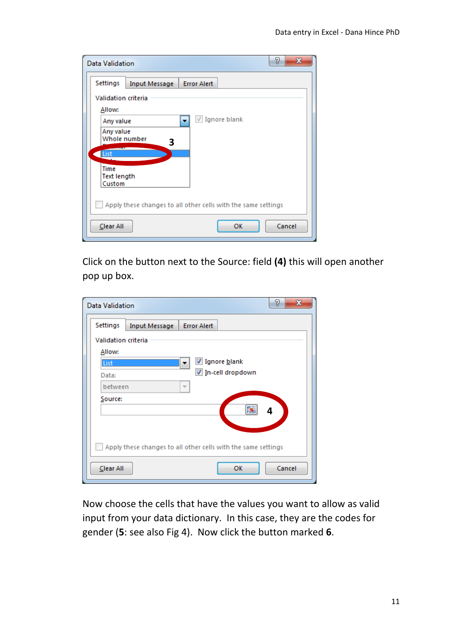| <b>Data Validation</b>       |                                                               |                    |                         | 8<br>$\mathbf{x}$ |  |  |  |  |  |
|------------------------------|---------------------------------------------------------------|--------------------|-------------------------|-------------------|--|--|--|--|--|
| Settings                     | Input Message                                                 | <b>Error Alert</b> |                         |                   |  |  |  |  |  |
| <b>Validation criteria</b>   |                                                               |                    |                         |                   |  |  |  |  |  |
| Allow:                       |                                                               |                    |                         |                   |  |  |  |  |  |
| Any value                    |                                                               | ٠                  | $\sqrt{ }$ Ignore blank |                   |  |  |  |  |  |
| Any value                    |                                                               |                    |                         |                   |  |  |  |  |  |
| Whole number                 | 3                                                             |                    |                         |                   |  |  |  |  |  |
| <b>List</b>                  |                                                               |                    |                         |                   |  |  |  |  |  |
| <b>Time</b>                  |                                                               |                    |                         |                   |  |  |  |  |  |
| <b>Text length</b><br>Custom |                                                               |                    |                         |                   |  |  |  |  |  |
|                              |                                                               |                    |                         |                   |  |  |  |  |  |
|                              | Apply these changes to all other cells with the same settings |                    |                         |                   |  |  |  |  |  |
| Clear All                    |                                                               |                    | ОК                      | Cancel            |  |  |  |  |  |

Click on the button next to the Source: field **(4)** this will open another pop up box.

| <b>Data Validation</b>     |                                                               |                    |                  | P<br>x |
|----------------------------|---------------------------------------------------------------|--------------------|------------------|--------|
| Settings                   | <b>Input Message</b>                                          | <b>Error Alert</b> |                  |        |
| <b>Validation criteria</b> |                                                               |                    |                  |        |
| Allow:                     |                                                               |                    |                  |        |
| List                       |                                                               |                    | √ Ignore blank   |        |
| Data:                      |                                                               |                    | In-cell dropdown |        |
| between                    |                                                               |                    |                  |        |
| Source:                    |                                                               |                    | 序                |        |
|                            |                                                               |                    |                  | 4      |
|                            |                                                               |                    |                  |        |
|                            | Apply these changes to all other cells with the same settings |                    |                  |        |
| Clear All                  |                                                               |                    | ОΚ               | Cancel |

Now choose the cells that have the values you want to allow as valid input from your data dictionary. In this case, they are the codes for gender (**5**: see also Fig 4). Now click the button marked **6**.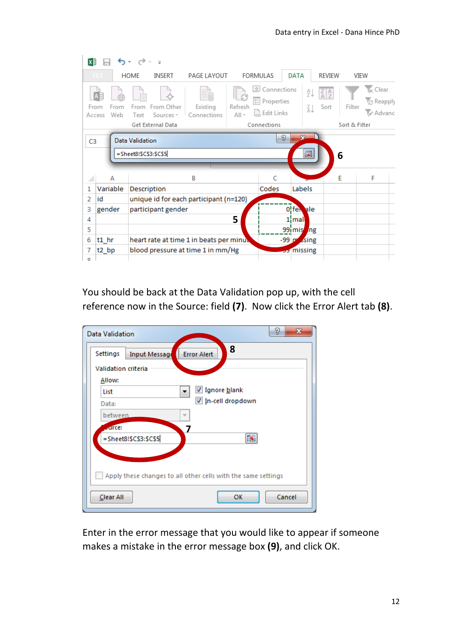| x∄             |                               | $6 - 12 - 5$             |                                         |                                         |                                    |                                                     |                                              |          |                                     |               |                                                 |
|----------------|-------------------------------|--------------------------|-----------------------------------------|-----------------------------------------|------------------------------------|-----------------------------------------------------|----------------------------------------------|----------|-------------------------------------|---------------|-------------------------------------------------|
|                | FIL F                         | HOME                     | INSERT                                  | PAGE LAYOUT                             |                                    | <b>FORMULAS</b>                                     | DATA                                         |          | REVIEW                              | VIEW          |                                                 |
|                | From<br>From<br>Web<br>Access | Text                     | From From Other<br>Sources <sup>+</sup> | Existing<br>Connections                 | $\circ$<br>B<br>Refresh<br>$All -$ | Connections<br><b>ED</b> Properties<br>a Edit Links |                                              | ₹↓<br>Ãļ | $\frac{Z}{A}$ $\frac{A}{Z}$<br>Sort | Filter        | $k_{\rm X}$ Clear<br><b>Z</b> Reapply<br>Advanc |
|                |                               |                          | Get External Data                       |                                         |                                    | Connections                                         |                                              |          |                                     | Sort & Filter |                                                 |
| C <sub>3</sub> |                               | <b>Data Validation</b>   |                                         |                                         |                                    |                                                     | P<br>32                                      |          |                                     |               |                                                 |
|                |                               | $=$ Sheet8!\$C\$3:\$C\$5 |                                         |                                         |                                    |                                                     |                                              | 圛        | 6                                   |               |                                                 |
|                |                               |                          |                                         |                                         |                                    |                                                     |                                              |          |                                     |               |                                                 |
| ◢              | А                             |                          |                                         | B                                       |                                    | C                                                   |                                              |          | E                                   |               | F                                               |
| 1              | Variable                      | <b>Description</b>       |                                         |                                         |                                    | Codes                                               | Labels                                       |          |                                     |               |                                                 |
| 2              | id                            |                          |                                         | unique id for each participant (n=120)  |                                    |                                                     |                                              |          |                                     |               |                                                 |
| 3              | gender                        |                          | participant gender                      |                                         |                                    |                                                     | Offen ale                                    |          |                                     |               |                                                 |
| 4              |                               |                          |                                         |                                         | 5                                  |                                                     | $1$ <sub>i</sub> mal                         |          |                                     |               |                                                 |
| 5              |                               |                          |                                         |                                         |                                    |                                                     | 99 mis                                       | ng       |                                     |               |                                                 |
| 6              | $t1$ hr                       |                          |                                         | heart rate at time 1 in beats per minux |                                    |                                                     | $-99$ $\vert \mathbf{r} \vert$ $\Delta$ sing |          |                                     |               |                                                 |
| 7              | t2 bp                         |                          |                                         | blood pressure at time 1 in mm/Hg       |                                    |                                                     | <b>D</b> missing                             |          |                                     |               |                                                 |
| $\circ$        |                               |                          |                                         |                                         |                                    |                                                     |                                              |          |                                     |               |                                                 |

You should be back at the Data Validation pop up, with the cell reference now in the Source: field **(7)**. Now click the Error Alert tab **(8)**.

| Data Validation            | P<br>$\mathbf{x}$                                             |  |  |  |  |  |  |  |  |
|----------------------------|---------------------------------------------------------------|--|--|--|--|--|--|--|--|
| Settings<br>Input Message  | 8<br><b>Error Alert</b>                                       |  |  |  |  |  |  |  |  |
| <b>Validation criteria</b> |                                                               |  |  |  |  |  |  |  |  |
| Allow:                     |                                                               |  |  |  |  |  |  |  |  |
| List                       | √ Ignore blank                                                |  |  |  |  |  |  |  |  |
| Data:                      | In-cell dropdown                                              |  |  |  |  |  |  |  |  |
| between                    | ÷                                                             |  |  |  |  |  |  |  |  |
| <b>Adices</b>              | 7                                                             |  |  |  |  |  |  |  |  |
| =Sheet8!\$C\$3:\$C\$5      |                                                               |  |  |  |  |  |  |  |  |
|                            |                                                               |  |  |  |  |  |  |  |  |
|                            | Apply these changes to all other cells with the same settings |  |  |  |  |  |  |  |  |
| Clear All                  | ОК<br>Cancel                                                  |  |  |  |  |  |  |  |  |

Enter in the error message that you would like to appear if someone makes a mistake in the error message box **(9)**, and click OK.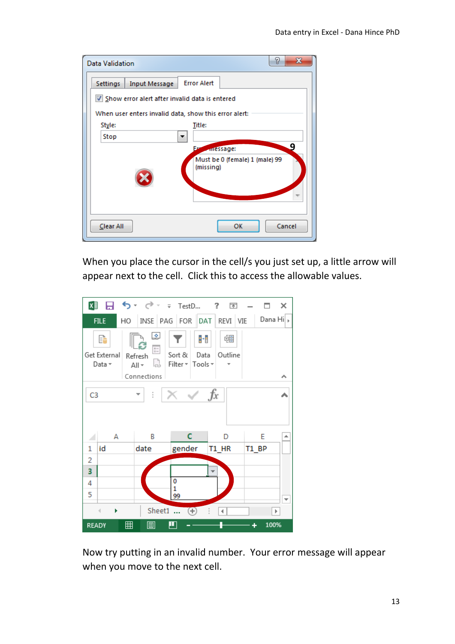| <b>Data Validation</b>                                        | 8<br>x |
|---------------------------------------------------------------|--------|
| <b>Error Alert</b><br><b>Input Message</b><br><b>Settings</b> |        |
| Show error alert after invalid data is entered                |        |
| When user enters invalid data, show this error alert:         |        |
| Style:<br><b>Title:</b>                                       |        |
| Stop                                                          |        |
| Fв<br>message:                                                | 9      |
| Must be 0 (female) 1 (male) 99<br>(missing)                   |        |
| Clear All<br>ок                                               | Cancel |

When you place the cursor in the cell/s you just set up, a little arrow will appear next to the cell. Click this to access the allowable values.



Now try putting in an invalid number. Your error message will appear when you move to the next cell.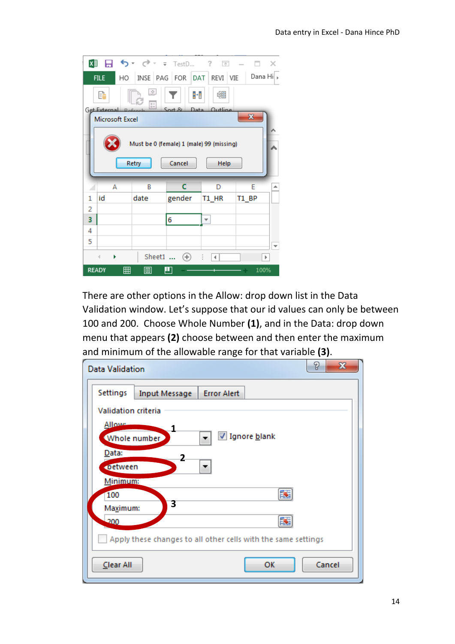| ΧĐ                                                                  |                                                                                               |    |        | <b>タ</b> ・ ♂・ = TestD ?   | $\overline{\rho_{\rm N}}$ |              | х                     |  |  |  |
|---------------------------------------------------------------------|-----------------------------------------------------------------------------------------------|----|--------|---------------------------|---------------------------|--------------|-----------------------|--|--|--|
|                                                                     | <b>FILE</b>                                                                                   | HO |        | INSE PAG FOR DAT REVI VIE |                           |              | Dana Hi  <sub>⊁</sub> |  |  |  |
|                                                                     | œ<br>F<br>帼<br>H<br>$\frac{0}{0}$<br>S <sub>ort</sub><br>Data Outline<br>Get External Defensi |    |        |                           |                           |              |                       |  |  |  |
|                                                                     | Microsoft Excel                                                                               |    |        |                           |                           | $\mathbf{x}$ |                       |  |  |  |
| Must be 0 (female) 1 (male) 99 (missing)<br>Cancel<br>Retry<br>Help |                                                                                               |    |        |                           |                           |              |                       |  |  |  |
|                                                                     |                                                                                               |    |        |                           |                           |              |                       |  |  |  |
|                                                                     | А                                                                                             |    | B      | c                         | D                         | E            | ∸                     |  |  |  |
| 1                                                                   | id                                                                                            |    | date   | gender                    | T1 HR                     | T1 BP        |                       |  |  |  |
| 2                                                                   |                                                                                               |    |        |                           |                           |              |                       |  |  |  |
| 3                                                                   |                                                                                               |    |        | 6                         |                           |              |                       |  |  |  |
| 4                                                                   |                                                                                               |    |        |                           |                           |              |                       |  |  |  |
| 5                                                                   |                                                                                               |    |        |                           |                           |              |                       |  |  |  |
|                                                                     | Þ                                                                                             |    | Sheet1 | $\left( +\right)$         | 4.                        |              | Þ                     |  |  |  |

There are other options in the Allow: drop down list in the Data Validation window. Let's suppose that our id values can only be between 100 and 200. Choose Whole Number **(1)**, and in the Data: drop down menu that appears **(2)** choose between and then enter the maximum and minimum of the allowable range for that variable **(3)**.

| <b>Data Validation</b>                                        | P<br>$\mathbf x$ |
|---------------------------------------------------------------|------------------|
| Settings<br><b>Error Alert</b><br><b>Input Message</b>        |                  |
| <b>Validation criteria</b>                                    |                  |
| <b>Allowe</b>                                                 |                  |
| √ Ignore blank<br>Whole number                                |                  |
| Data:<br>2                                                    |                  |
| <b>Detween</b><br>▼                                           |                  |
| Minimum:                                                      |                  |
| 嶐<br>100<br>3                                                 |                  |
| Maximum:                                                      |                  |
| 200                                                           |                  |
| Apply these changes to all other cells with the same settings |                  |
| OK<br>Clear All                                               | Cancel           |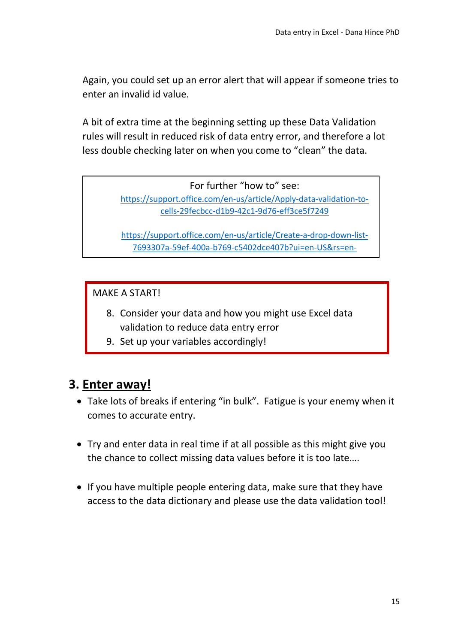Again, you could set up an error alert that will appear if someone tries to enter an invalid id value.

A bit of extra time at the beginning setting up these Data Validation rules will result in reduced risk of data entry error, and therefore a lot less double checking later on when you come to "clean" the data.

For further "how to" see:

[https://support.office.com/en-us/article/Apply-data-validation-to](https://support.office.com/en-us/article/Apply-data-validation-to-cells-29fecbcc-d1b9-42c1-9d76-eff3ce5f7249)[cells-29fecbcc-d1b9-42c1-9d76-eff3ce5f7249](https://support.office.com/en-us/article/Apply-data-validation-to-cells-29fecbcc-d1b9-42c1-9d76-eff3ce5f7249)

[https://support.office.com/en-us/article/Create-a-drop-down-list-](https://support.office.com/en-us/article/Create-a-drop-down-list-7693307a-59ef-400a-b769-c5402dce407b?ui=en-US&rs=en-US&ad=US)[7693307a-59ef-400a-b769-c5402dce407b?ui=en-US&rs=en-](https://support.office.com/en-us/article/Create-a-drop-down-list-7693307a-59ef-400a-b769-c5402dce407b?ui=en-US&rs=en-US&ad=US)

MAKE A START!

- 8. Consider your data and how you might use Excel data validation to reduce data entry error
- 9. Set up your variables accordingly!

#### **3. Enter away!**

- Take lots of breaks if entering "in bulk". Fatigue is your enemy when it comes to accurate entry.
- Try and enter data in real time if at all possible as this might give you the chance to collect missing data values before it is too late….
- If you have multiple people entering data, make sure that they have access to the data dictionary and please use the data validation tool!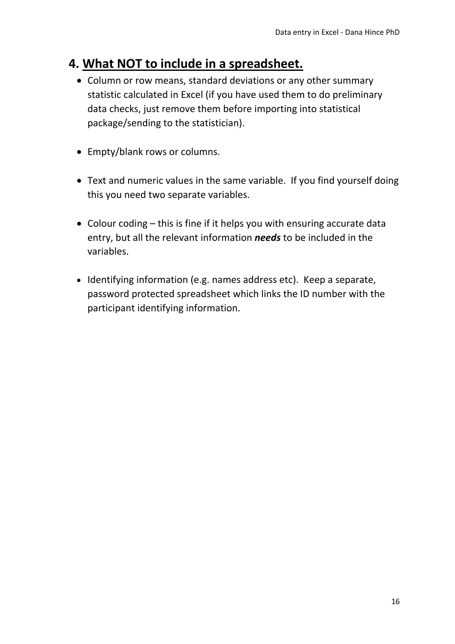# **4. What NOT to include in a spreadsheet.**

- Column or row means, standard deviations or any other summary statistic calculated in Excel (if you have used them to do preliminary data checks, just remove them before importing into statistical package/sending to the statistician).
- Empty/blank rows or columns.
- Text and numeric values in the same variable. If you find yourself doing this you need two separate variables.
- Colour coding this is fine if it helps you with ensuring accurate data entry, but all the relevant information *needs* to be included in the variables.
- Identifying information (e.g. names address etc). Keep a separate, password protected spreadsheet which links the ID number with the participant identifying information.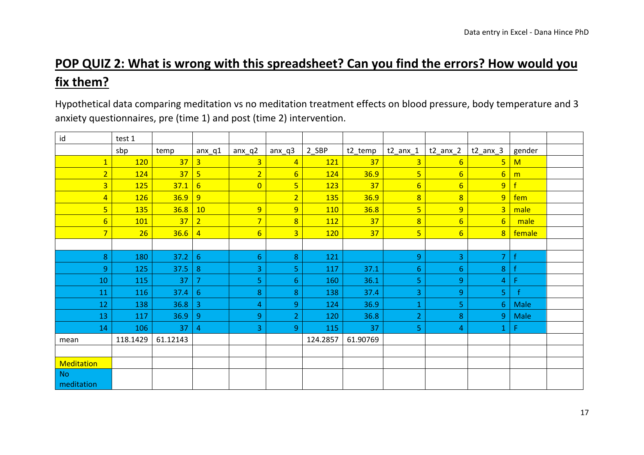# **POP QUIZ 2: What is wrong with this spreadsheet? Can you find the errors? How would you fix them?**

Hypothetical data comparing meditation vs no meditation treatment effects on blood pressure, body temperature and 3 anxiety questionnaires, pre (time 1) and post (time 2) intervention.

| id                      | test 1   |                 |                         |                 |                |            |          |                         |                 |                 |              |  |
|-------------------------|----------|-----------------|-------------------------|-----------------|----------------|------------|----------|-------------------------|-----------------|-----------------|--------------|--|
|                         | sbp      | temp            | $anx_q1$                | $anx_q2$        | $anx_q3$       | 2_SBP      | t2_temp  | $t2$ _anx_1             | $t2$ _anx_2     | $t2$ anx $3$    | gender       |  |
| $\overline{\mathbf{1}}$ | 120      | 37              | $\overline{3}$          | $\overline{3}$  | $\overline{4}$ | 121        | 37       | $\overline{\mathbf{3}}$ | $6\overline{6}$ | $\overline{5}$  | M            |  |
| $\overline{2}$          | 124      | 37 <sup>°</sup> | $5\overline{5}$         | $\overline{2}$  | 6 <sup>1</sup> | 124        | 36.9     | 5                       | $6 \overline{}$ | $6\overline{6}$ | m            |  |
| 3 <sup>1</sup>          | 125      | 37.1            | $6\overline{6}$         | $\overline{0}$  | $\overline{5}$ | 123        | 37       | $6\overline{6}$         | $6 \overline{}$ | $\overline{9}$  | $\mathbf{f}$ |  |
| $\overline{4}$          | 126      | $36.9$ 9        |                         |                 | $\overline{2}$ | 135        | 36.9     | $\overline{8}$          | $\overline{8}$  | $\overline{9}$  | fem          |  |
| $\overline{5}$          | 135      | 36.8            | $ 10\rangle$            | $\overline{9}$  | $\overline{9}$ | 110        | 36.8     | $\overline{5}$          | $\overline{9}$  | $\overline{3}$  | male         |  |
| $6 \overline{}$         | 101      | 37 <sup>°</sup> | $\overline{2}$          | $\overline{7}$  | $\overline{8}$ | <b>112</b> | 37       | $\overline{8}$          | $6\overline{6}$ | 6 <sup>1</sup>  | male         |  |
| $\overline{7}$          | 26       | $36.6$   4      |                         | $6 \overline{}$ | 3 <sup>1</sup> | <b>120</b> | 37       | $\overline{5}$          | $6 \overline{}$ | 8 <sup>°</sup>  | female       |  |
|                         |          |                 |                         |                 |                |            |          |                         |                 |                 |              |  |
| 8                       | 180      | 37.2            | $\sqrt{6}$              | 6 <sup>1</sup>  | 8              | 121        |          | 9                       | 3               | $\overline{7}$  | f            |  |
| $\overline{9}$          | 125      | 37.5            | $\bf 8$                 | 3               | 5              | 117        | 37.1     | $6 \overline{6}$        | $6\phantom{1}$  | 8               | £            |  |
| 10                      | 115      | 37              | $\overline{7}$          | 5               | 6              | 160        | 36.1     | 5                       | 9               | $\overline{4}$  | F            |  |
| 11                      | 116      | 37.4            | $\sqrt{6}$              | 8               | 8              | 138        | 37.4     | 3                       | 9               | 5               | $\mathbf{f}$ |  |
| 12                      | 138      | 36.8            | $\overline{\mathbf{3}}$ | $\overline{4}$  | 9              | 124        | 36.9     | $\mathbf{1}$            | 5               | 6 <sup>1</sup>  | Male         |  |
| 13                      | 117      | 36.9            | $\boldsymbol{9}$        | 9               | 2 <sup>1</sup> | 120        | 36.8     | $\overline{2}$          | 8               | 9               | Male         |  |
| 14                      | 106      | 37              | $\overline{4}$          | 3               | 9 <sup>°</sup> | 115        | 37       | 5                       | $\overline{4}$  | $\mathbf{1}$    | F            |  |
| mean                    | 118.1429 | 61.12143        |                         |                 |                | 124.2857   | 61.90769 |                         |                 |                 |              |  |
|                         |          |                 |                         |                 |                |            |          |                         |                 |                 |              |  |
| <b>Meditation</b>       |          |                 |                         |                 |                |            |          |                         |                 |                 |              |  |
| <b>No</b>               |          |                 |                         |                 |                |            |          |                         |                 |                 |              |  |
| meditation              |          |                 |                         |                 |                |            |          |                         |                 |                 |              |  |